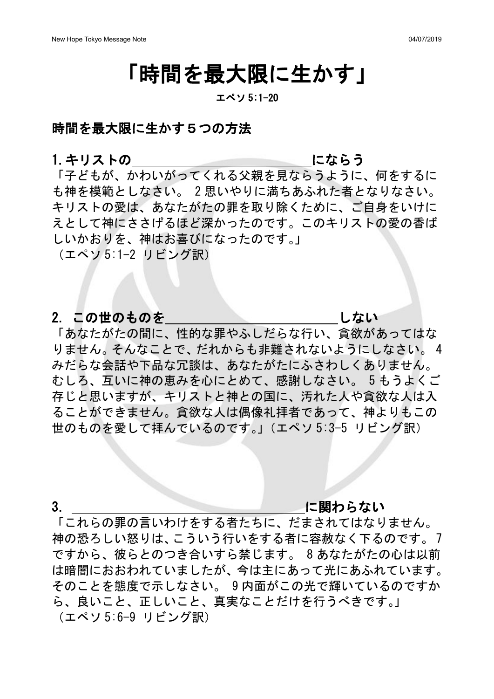# 「時間を最大限に生かす」

### エペソ 5:1-20

## 時間を最大限に生かす5つの方法

1.キリストの にならう

「子どもが、かわいがってくれる父親を見ならうように、何をするに も神を模範としなさい。 2 思いやりに満ちあふれた者となりなさい。 キリストの愛は、あなたがたの罪を取り除くために、ご自身をいけに えとして神にささげるほど深かったのです。このキリストの愛の香ば しいかおりを、神はお喜びになったのです。」

(エペソ 5:1-2 リビング訳)

## 2. この世のものを しゅうしんしゃ しない

「あなたがたの間に、性的な罪やふしだらな行い、貪欲があってはな りません。そんなことで、だれからも非難されないようにしなさい。 4 みだらな会話や下品な冗談は、あなたがたにふさわしくありません。 むしろ、互いに神の恵みを心にとめて、感謝しなさい。 5 もうよくご 存じと思いますが、キリストと神との国に、汚れた人や貪欲な人は入 ることができません。貪欲な人は偶像礼拝者であって、神よりもこの 世のものを愛して拝んでいるのです。」(エペソ 5:3-5 リビング訳)

### 3. ということ こうしょう に関わらない

「これらの罪の言いわけをする者たちに、だまされてはなりません。 神の恐ろしい怒りは、こういう行いをする者に容赦なく下るのです。 7 ですから、彼らとのつき合いすら禁じます。 8 あなたがたの心は以前 は暗闇におおわれていましたが、今は主にあって光にあふれています。 そのことを態度で示しなさい。 9 内面がこの光で輝いているのですか ら、良いこと、正しいこと、真実なことだけを行うべきです。」 (エペソ 5:6-9 リビング訳)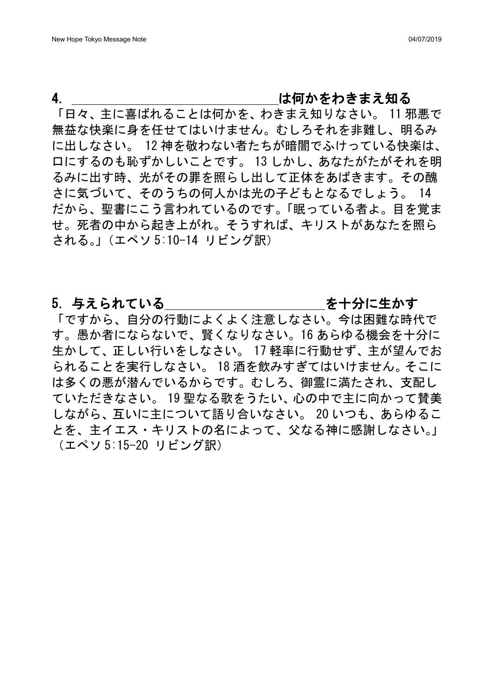## 4. キャンプ キャンプ は何かをわきまえ知る

「日々、主に喜ばれることは何かを、わきまえ知りなさい。 11 邪悪で 無益な快楽に身を任せてはいけません。むしろそれを非難し、明るみ に出しなさい。 12 神を敬わない者たちが暗闇でふけっている快楽は、 口にするのも恥ずかしいことです。 13 しかし、あなたがたがそれを明 るみに出す時、光がその罪を照らし出して正体をあばきます。その醜 さに気づいて、そのうちの何人かは光の子どもとなるでしょう。 14 だから、聖書にこう言われているのです。「眠っている者よ。目を覚ま せ。死者の中から起き上がれ。そうすれば、キリストがあなたを照ら される。」(エペソ 5:10-14 リビング訳)

### 5. 与えられている ちょうしゃ あっちゃ を十分に生かす

「ですから、自分の行動によくよく注意しなさい。今は困難な時代で す。愚か者にならないで、賢くなりなさい。16 あらゆる機会を十分に 生かして、正しい行いをしなさい。 17 軽率に行動せず、主が望んでお られることを実行しなさい。 18 酒を飲みすぎてはいけません。そこに は多くの悪が潜んでいるからです。むしろ、御霊に満たされ、支配し ていただきなさい。 19 聖なる歌をうたい、心の中で主に向かって賛美 しながら、互いに主について語り合いなさい。 20 いつも、あらゆるこ とを、主イエス・キリストの名によって、父なる神に感謝しなさい。」 (エペソ 5:15-20 リビング訳)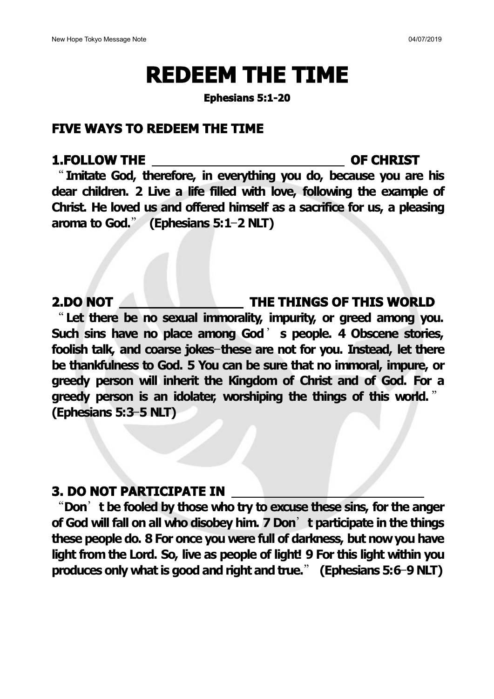# **REDEEM THE TIME**

**Ephesians 5:1-20**

### **FIVE WAYS TO REDEEM THE TIME**

### **1.FOLLOW THE OF CHRIST**

"**Imitate God, therefore, in everything you do, because you are his dear children. 2 Live a life filled with love, following the example of Christ. He loved us and offered himself as a sacrifice for us, a pleasing aroma to God.**" **(Ephesians 5:1**—**2 NLT)**

### **2.DO NOT THE THINGS OF THIS WORLD**

"**Let there be no sexual immorality, impurity, or greed among you. Such sins have no place among God**' **s people. 4 Obscene stories, foolish talk, and coarse jokes**—**these are not for you. Instead, let there be thankfulness to God. 5 You can be sure that no immoral, impure, or greedy person will inherit the Kingdom of Christ and of God. For a greedy person is an idolater, worshiping the things of this world.** " **(Ephesians 5:3**—**5 NLT)**

### **3. DO NOT PARTICIPATE IN**

"**Don**'**t be fooled by those who try to excuse these sins, for the anger of God will fall on all who disobey him. 7 Don**'**t participate in the things these people do. 8 For once you were full of darkness, but nowyou have light from the Lord. So, live as people of light! 9 For this light within you produces only what is good and right and true.**" **(Ephesians 5:6**—**9 NLT)**